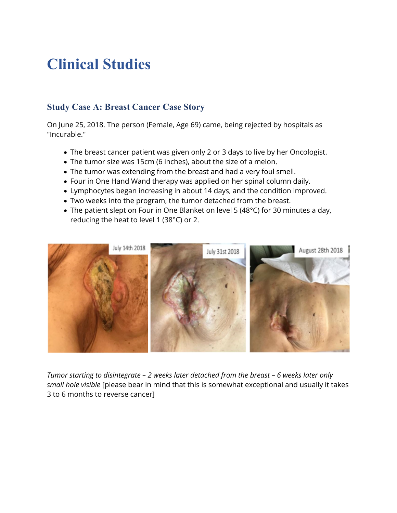## **Clinical Studies**

### **Study Case A: Breast Cancer Case Story**

On June 25, 2018. The person (Female, Age 69) came, being rejected by hospitals as "Incurable."

- The breast cancer patient was given only 2 or 3 days to live by her Oncologist.
- The tumor size was 15cm (6 inches), about the size of a melon.
- The tumor was extending from the breast and had a very foul smell.
- Four in One Hand Wand therapy was applied on her spinal column daily.
- Lymphocytes began increasing in about 14 days, and the condition improved.
- Two weeks into the program, the tumor detached from the breast.
- The patient slept on Four in One Blanket on level 5 (48°C) for 30 minutes a day, reducing the heat to level 1 (38°C) or 2.



*Tumor starting to disintegrate – 2 weeks later detached from the breast – 6 weeks later only small hole visible* [please bear in mind that this is somewhat exceptional and usually it takes 3 to 6 months to reverse cancer]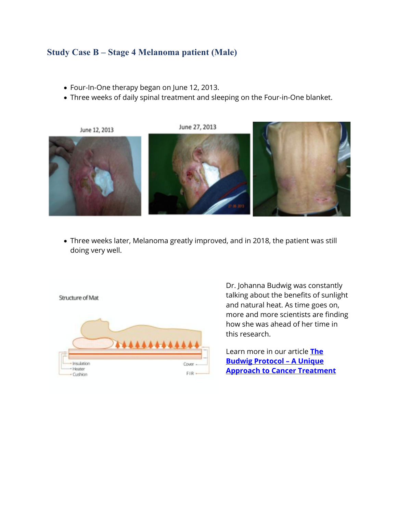#### **Study Case B – Stage 4 Melanoma patient (Male)**

- Four-In-One therapy began on June 12, 2013.
- Three weeks of daily spinal treatment and sleeping on the Four-in-One blanket.



• Three weeks later, Melanoma greatly improved, and in 2018, the patient was still doing very well.

Structure of Mat



Dr. Johanna Budwig was constantly talking about the benefits of sunlight and natural heat. As time goes on, more and more scientists are finding how she was ahead of her time in this research.

Learn more in our article **The Budwig Protocol – A Unique Approach to Cancer Treatment**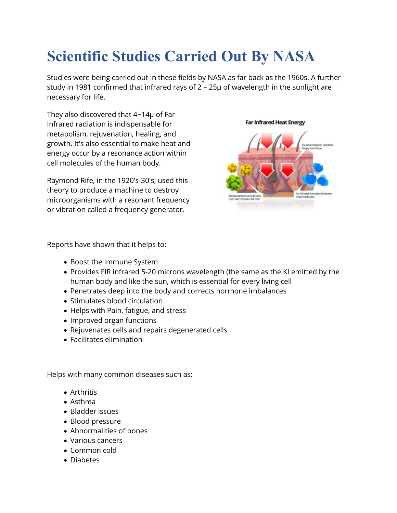# **Scientific Studies Carried Out By NASA**

Studies were being carried out in these fields by NASA as far back as the 1960s. A further study in 1981 confirmed that infrared rays of 2 – 25μ of wavelength in the sunlight are necessary for life.

They also discovered that 4~14μ of Far Infrared radiation is indispensable for metabolism, rejuvenation, healing, and growth. It's also essential to make heat and energy occur by a resonance action within cell molecules of the human body.

Raymond Rife, in the 1920′s-30′s, used this theory to produce a machine to destroy microorganisms with a resonant frequency or vibration called a frequency generator.

#### **Far Infrared Heat Energy**



Reports have shown that it helps to:

- Boost the Immune System
- Provides FIR infrared 5-20 microns wavelength (the same as the KI emitted by the human body and like the sun, which is essential for every living cell
- Penetrates deep into the body and corrects hormone imbalances
- Stimulates blood circulation
- Helps with Pain, fatigue, and stress
- Improved organ functions
- Rejuvenates cells and repairs degenerated cells
- Facilitates elimination

Helps with many common diseases such as:

- Arthritis
- Asthma
- Bladder issues
- Blood pressure
- Abnormalities of bones
- Various cancers
- Common cold
- Diabetes